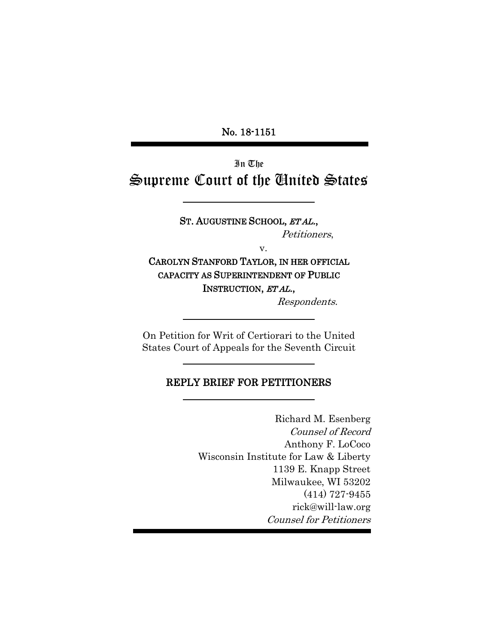No. 18-1151

In The Supreme Court of the United States

> ST. AUGUSTINE SCHOOL, ETAL., Petitioners,

> > v.

CAROLYN STANFORD TAYLOR, IN HER OFFICIAL CAPACITY AS SUPERINTENDENT OF PUBLIC INSTRUCTION, ET AL.,

Respondents.

On Petition for Writ of Certiorari to the United States Court of Appeals for the Seventh Circuit

### REPLY BRIEF FOR PETITIONERS

 Richard M. Esenberg Counsel of Record Anthony F. LoCoco Wisconsin Institute for Law & Liberty 1139 E. Knapp Street Milwaukee, WI 53202 (414) 727-9455 rick@will-law.org Counsel for Petitioners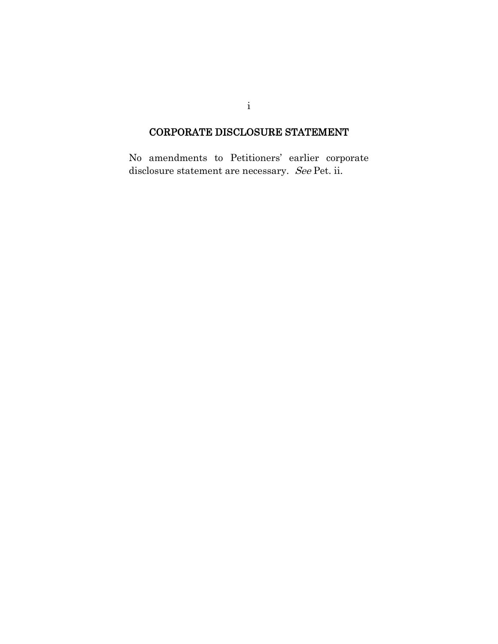## CORPORATE DISCLOSURE STATEMENT

No amendments to Petitioners' earlier corporate disclosure statement are necessary. See Pet. ii.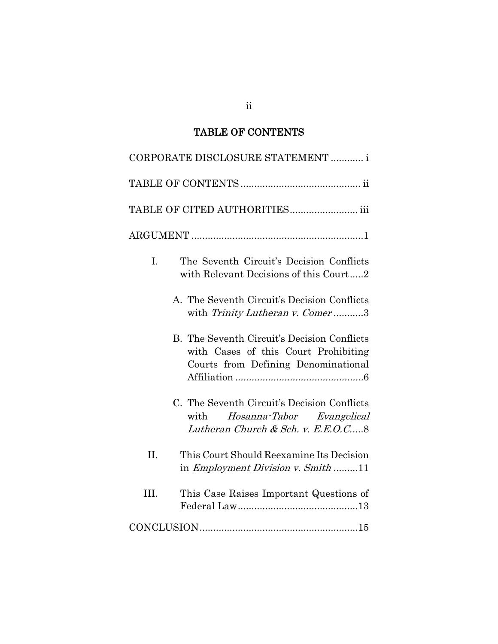## TABLE OF CONTENTS

| CORPORATE DISCLOSURE STATEMENT  i                                                                                          |
|----------------------------------------------------------------------------------------------------------------------------|
|                                                                                                                            |
| TABLE OF CITED AUTHORITIES iii                                                                                             |
|                                                                                                                            |
| The Seventh Circuit's Decision Conflicts<br>Ι.<br>with Relevant Decisions of this Court2                                   |
| A. The Seventh Circuit's Decision Conflicts<br>with Trinity Lutheran v. Comer3                                             |
| B. The Seventh Circuit's Decision Conflicts<br>with Cases of this Court Prohibiting<br>Courts from Defining Denominational |
| C. The Seventh Circuit's Decision Conflicts<br>with Hosanna-Tabor Evangelical<br>Lutheran Church & Sch. v. E.E.O.C8        |
| II.<br>This Court Should Reexamine Its Decision<br>in <i>Employment Division v. Smith</i> 11                               |
| III.<br>This Case Raises Important Questions of                                                                            |
|                                                                                                                            |

ii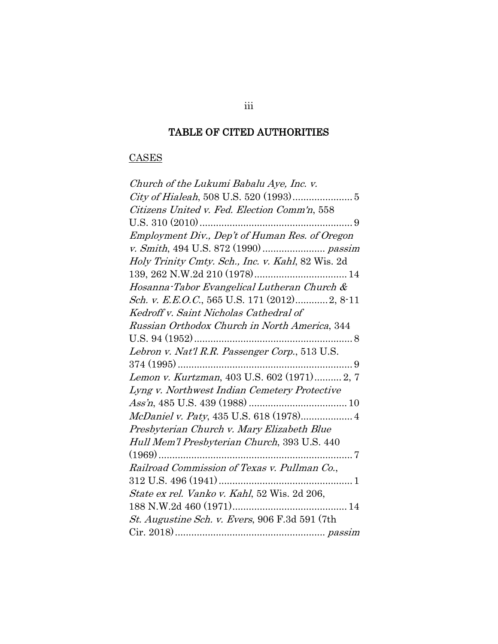## TABLE OF CITED AUTHORITIES

# **CASES**

| Church of the Lukumi Babalu Aye, Inc. v.                |
|---------------------------------------------------------|
|                                                         |
| Citizens United v. Fed. Election Comm'n, 558            |
| U.S. 310 $(2010)$<br>. 9                                |
| Employment Div., Dep't of Human Res. of Oregon          |
|                                                         |
| Holy Trinity Cmty. Sch., Inc. v. Kahl, 82 Wis. 2d       |
|                                                         |
| Hosanna-Tabor Evangelical Lutheran Church &             |
| Sch. v. E.E.O.C., 565 U.S. 171 (2012) 2, 8-11           |
| Kedroff v. Saint Nicholas Cathedral of                  |
| Russian Orthodox Church in North America, 344           |
|                                                         |
| Lebron v. Nat'l R.R. Passenger Corp., 513 U.S.          |
| $374(1995)$                                             |
| Lemon v. Kurtzman, 403 U.S. 602 (1971) 2, 7             |
| Lyng v. Northwest Indian Cemetery Protective            |
|                                                         |
|                                                         |
| Presbyterian Church v. Mary Elizabeth Blue              |
| Hull Mem'l Presbyterian Church, 393 U.S. 440            |
| $(1969)$<br>. 7                                         |
| Railroad Commission of Texas v. Pullman Co.,            |
|                                                         |
| State ex rel. Vanko v. Kahl, 52 Wis. 2d 206,            |
|                                                         |
| <i>St. Augustine Sch. v. Evers, 906 F.3d 591 (7th</i> ) |
|                                                         |

iii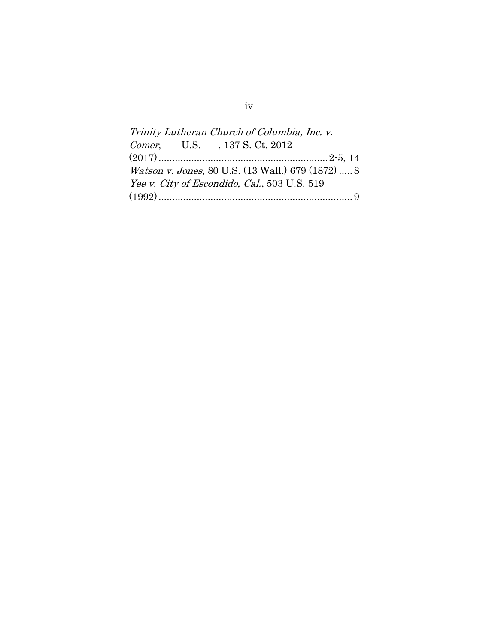| Trinity Lutheran Church of Columbia, Inc. v.              |
|-----------------------------------------------------------|
| <i>Comer</i> , __ U.S. __, 137 S. Ct. 2012                |
|                                                           |
| <i>Watson v. Jones</i> , 80 U.S. (13 Wall.) 679 (1872)  8 |
| Yee v. City of Escondido, Cal., 503 U.S. 519              |
|                                                           |

iv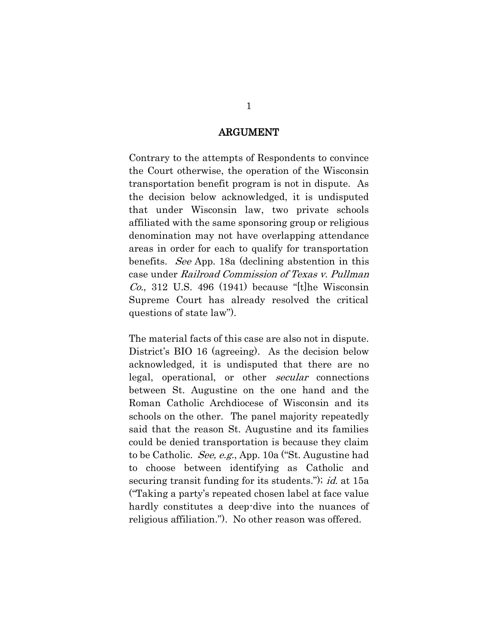#### ARGUMENT

Contrary to the attempts of Respondents to convince the Court otherwise, the operation of the Wisconsin transportation benefit program is not in dispute. As the decision below acknowledged, it is undisputed that under Wisconsin law, two private schools affiliated with the same sponsoring group or religious denomination may not have overlapping attendance areas in order for each to qualify for transportation benefits. See App. 18a (declining abstention in this case under Railroad Commission of Texas v. Pullman  $Co., 312$  U.S. 496 (1941) because "[t]he Wisconsin Supreme Court has already resolved the critical questions of state law").

The material facts of this case are also not in dispute. District's BIO 16 (agreeing). As the decision below acknowledged, it is undisputed that there are no legal, operational, or other secular connections between St. Augustine on the one hand and the Roman Catholic Archdiocese of Wisconsin and its schools on the other. The panel majority repeatedly said that the reason St. Augustine and its families could be denied transportation is because they claim to be Catholic. See, e.g., App. 10a ("St. Augustine had to choose between identifying as Catholic and securing transit funding for its students."); *id.* at 15a ("Taking a party's repeated chosen label at face value hardly constitutes a deep-dive into the nuances of religious affiliation."). No other reason was offered.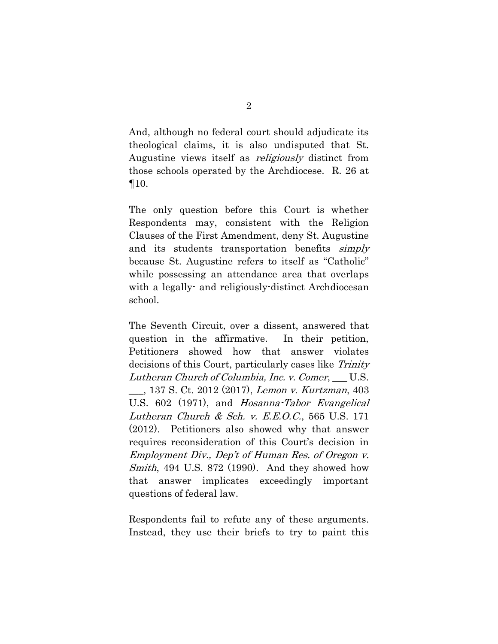And, although no federal court should adjudicate its theological claims, it is also undisputed that St. Augustine views itself as religiously distinct from those schools operated by the Archdiocese. R. 26 at ¶10.

The only question before this Court is whether Respondents may, consistent with the Religion Clauses of the First Amendment, deny St. Augustine and its students transportation benefits simply because St. Augustine refers to itself as "Catholic" while possessing an attendance area that overlaps with a legally- and religiously-distinct Archdiocesan school.

The Seventh Circuit, over a dissent, answered that question in the affirmative. In their petition, Petitioners showed how that answer violates decisions of this Court, particularly cases like Trinity Lutheran Church of Columbia, Inc. v. Comer, U.S. \_\_\_, 137 S. Ct. 2012 (2017), Lemon v. Kurtzman, 403 U.S. 602 (1971), and Hosanna-Tabor Evangelical Lutheran Church & Sch. v. E.E.O.C., 565 U.S. 171 (2012). Petitioners also showed why that answer requires reconsideration of this Court's decision in Employment Div., Dep't of Human Res. of Oregon v. Smith, 494 U.S. 872 (1990). And they showed how that answer implicates exceedingly important questions of federal law.

Respondents fail to refute any of these arguments. Instead, they use their briefs to try to paint this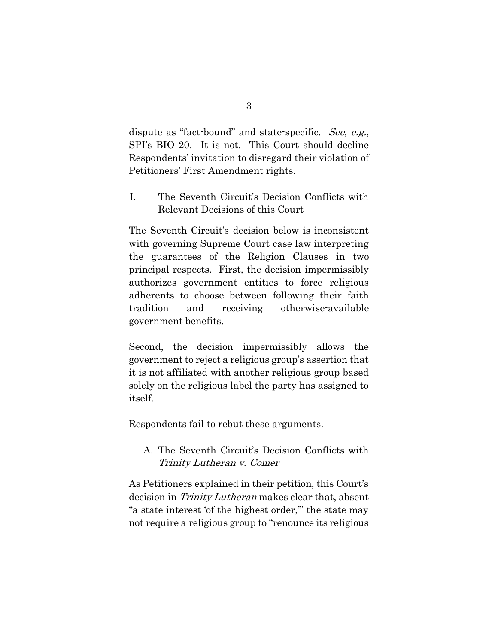dispute as "fact-bound" and state-specific. See, e.g., SPI's BIO 20. It is not. This Court should decline Respondents' invitation to disregard their violation of Petitioners' First Amendment rights.

I. The Seventh Circuit's Decision Conflicts with Relevant Decisions of this Court

The Seventh Circuit's decision below is inconsistent with governing Supreme Court case law interpreting the guarantees of the Religion Clauses in two principal respects. First, the decision impermissibly authorizes government entities to force religious adherents to choose between following their faith tradition and receiving otherwise-available government benefits.

Second, the decision impermissibly allows the government to reject a religious group's assertion that it is not affiliated with another religious group based solely on the religious label the party has assigned to itself.

Respondents fail to rebut these arguments.

### A. The Seventh Circuit's Decision Conflicts with Trinity Lutheran v. Comer

As Petitioners explained in their petition, this Court's decision in Trinity Lutheran makes clear that, absent "a state interest 'of the highest order,'" the state may not require a religious group to "renounce its religious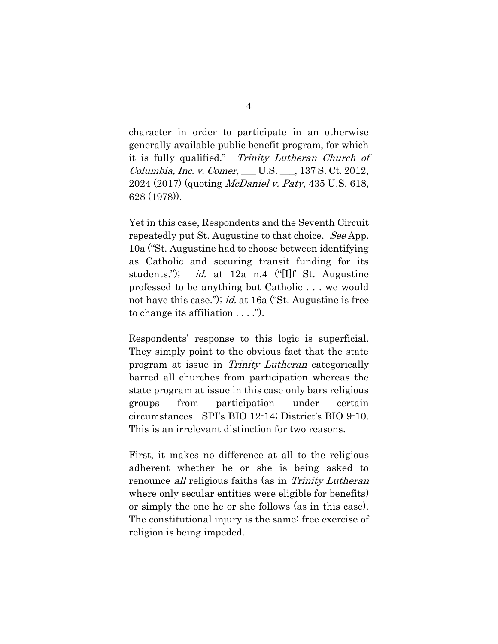character in order to participate in an otherwise generally available public benefit program, for which it is fully qualified." Trinity Lutheran Church of Columbia, Inc. v. Comer, \_\_\_ U.S. \_\_\_, 137 S. Ct. 2012, 2024 (2017) (quoting McDaniel v. Paty, 435 U.S. 618, 628 (1978)).

Yet in this case, Respondents and the Seventh Circuit repeatedly put St. Augustine to that choice. See App. 10a ("St. Augustine had to choose between identifying as Catholic and securing transit funding for its students."); *id.* at 12a n.4 ("[I]f St. Augustine professed to be anything but Catholic . . . we would not have this case."); *id.* at 16a ("St. Augustine is free to change its affiliation . . . .").

Respondents' response to this logic is superficial. They simply point to the obvious fact that the state program at issue in Trinity Lutheran categorically barred all churches from participation whereas the state program at issue in this case only bars religious groups from participation under certain circumstances. SPI's BIO 12-14; District's BIO 9-10. This is an irrelevant distinction for two reasons.

First, it makes no difference at all to the religious adherent whether he or she is being asked to renounce *all* religious faiths (as in *Trinity Lutheran* where only secular entities were eligible for benefits) or simply the one he or she follows (as in this case). The constitutional injury is the same; free exercise of religion is being impeded.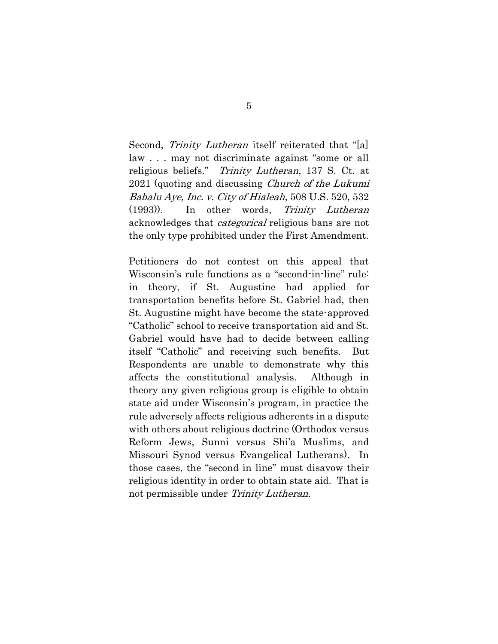Second, *Trinity Lutheran* itself reiterated that "[a] law . . . may not discriminate against "some or all religious beliefs." Trinity Lutheran, 137 S. Ct. at 2021 (quoting and discussing Church of the Lukumi Babalu Aye, Inc. v. City of Hialeah, 508 U.S. 520, 532 (1993)). In other words, Trinity Lutheran acknowledges that *categorical* religious bans are not the only type prohibited under the First Amendment.

Petitioners do not contest on this appeal that Wisconsin's rule functions as a "second-in-line" rule: in theory, if St. Augustine had applied for transportation benefits before St. Gabriel had, then St. Augustine might have become the state-approved "Catholic" school to receive transportation aid and St. Gabriel would have had to decide between calling itself "Catholic" and receiving such benefits. But Respondents are unable to demonstrate why this affects the constitutional analysis. Although in theory any given religious group is eligible to obtain state aid under Wisconsin's program, in practice the rule adversely affects religious adherents in a dispute with others about religious doctrine (Orthodox versus Reform Jews, Sunni versus Shi'a Muslims, and Missouri Synod versus Evangelical Lutherans). In those cases, the "second in line" must disavow their religious identity in order to obtain state aid. That is not permissible under Trinity Lutheran.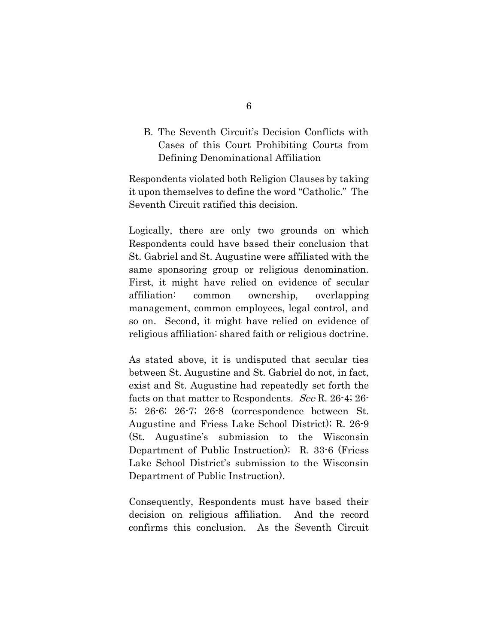B. The Seventh Circuit's Decision Conflicts with Cases of this Court Prohibiting Courts from Defining Denominational Affiliation

Respondents violated both Religion Clauses by taking it upon themselves to define the word "Catholic." The Seventh Circuit ratified this decision.

Logically, there are only two grounds on which Respondents could have based their conclusion that St. Gabriel and St. Augustine were affiliated with the same sponsoring group or religious denomination. First, it might have relied on evidence of secular affiliation: common ownership, overlapping management, common employees, legal control, and so on. Second, it might have relied on evidence of religious affiliation: shared faith or religious doctrine.

As stated above, it is undisputed that secular ties between St. Augustine and St. Gabriel do not, in fact, exist and St. Augustine had repeatedly set forth the facts on that matter to Respondents. See R. 26-4; 26- 5; 26-6; 26-7; 26-8 (correspondence between St. Augustine and Friess Lake School District); R. 26-9 (St. Augustine's submission to the Wisconsin Department of Public Instruction); R. 33-6 (Friess Lake School District's submission to the Wisconsin Department of Public Instruction).

Consequently, Respondents must have based their decision on religious affiliation. And the record confirms this conclusion. As the Seventh Circuit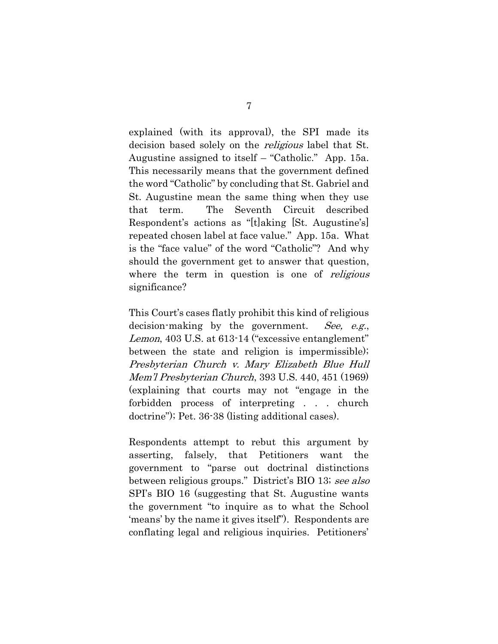explained (with its approval), the SPI made its decision based solely on the *religious* label that St. Augustine assigned to itself – "Catholic." App. 15a. This necessarily means that the government defined the word "Catholic" by concluding that St. Gabriel and St. Augustine mean the same thing when they use that term. The Seventh Circuit described Respondent's actions as "[t]aking [St. Augustine's] repeated chosen label at face value." App. 15a. What is the "face value" of the word "Catholic"? And why should the government get to answer that question, where the term in question is one of *religious* significance?

This Court's cases flatly prohibit this kind of religious decision-making by the government. See, e.g., Lemon, 403 U.S. at 613-14 ("excessive entanglement" between the state and religion is impermissible); Presbyterian Church v. Mary Elizabeth Blue Hull Mem'l Presbyterian Church, 393 U.S. 440, 451 (1969) (explaining that courts may not "engage in the forbidden process of interpreting . . . church doctrine"); Pet. 36-38 (listing additional cases).

Respondents attempt to rebut this argument by asserting, falsely, that Petitioners want the government to "parse out doctrinal distinctions between religious groups." District's BIO 13; see also SPI's BIO 16 (suggesting that St. Augustine wants the government "to inquire as to what the School 'means' by the name it gives itself"). Respondents are conflating legal and religious inquiries. Petitioners'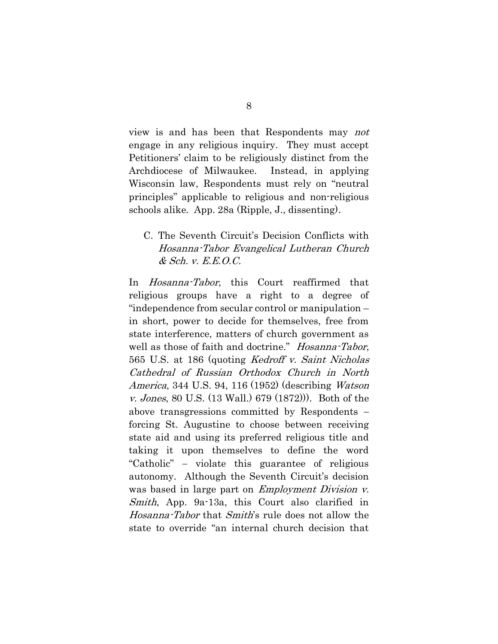view is and has been that Respondents may not engage in any religious inquiry. They must accept Petitioners' claim to be religiously distinct from the Archdiocese of Milwaukee. Instead, in applying Wisconsin law, Respondents must rely on "neutral principles" applicable to religious and non-religious schools alike. App. 28a (Ripple, J., dissenting).

### C. The Seventh Circuit's Decision Conflicts with Hosanna-Tabor Evangelical Lutheran Church & Sch. v. E.E.O.C.

In Hosanna-Tabor, this Court reaffirmed that religious groups have a right to a degree of "independence from secular control or manipulation – in short, power to decide for themselves, free from state interference, matters of church government as well as those of faith and doctrine." Hosanna-Tabor, 565 U.S. at 186 (quoting Kedroff v. Saint Nicholas Cathedral of Russian Orthodox Church in North America, 344 U.S. 94, 116 (1952) (describing Watson v. Jones, 80 U.S. (13 Wall.) 679 (1872))). Both of the above transgressions committed by Respondents forcing St. Augustine to choose between receiving state aid and using its preferred religious title and taking it upon themselves to define the word "Catholic" violate this guarantee of religious autonomy. Although the Seventh Circuit's decision was based in large part on *Employment Division v.* Smith, App. 9a-13a, this Court also clarified in Hosanna-Tabor that Smith's rule does not allow the state to override "an internal church decision that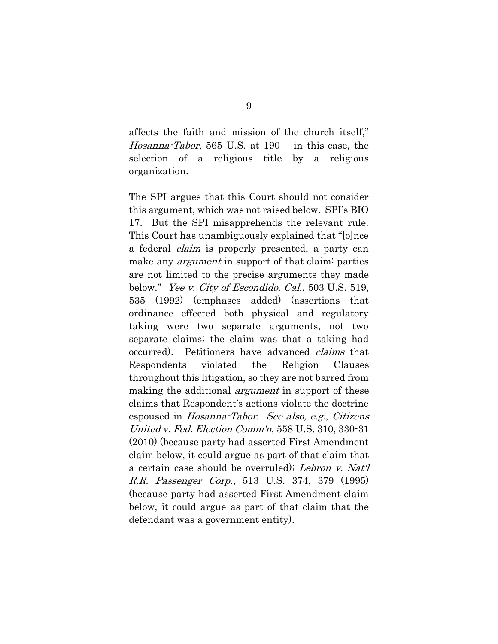affects the faith and mission of the church itself," *Hosanna-Tabor*, 565 U.S. at  $190 - in$  this case, the selection of a religious title by a religious organization.

The SPI argues that this Court should not consider this argument, which was not raised below. SPI's BIO 17. But the SPI misapprehends the relevant rule. This Court has unambiguously explained that "[o]nce a federal *claim* is properly presented, a party can make any *argument* in support of that claim; parties are not limited to the precise arguments they made below." Yee v. City of Escondido, Cal., 503 U.S. 519, 535 (1992) (emphases added) (assertions that ordinance effected both physical and regulatory taking were two separate arguments, not two separate claims; the claim was that a taking had occurred). Petitioners have advanced *claims* that Respondents violated the Religion Clauses throughout this litigation, so they are not barred from making the additional *argument* in support of these claims that Respondent's actions violate the doctrine espoused in Hosanna-Tabor. See also, e.g., Citizens United v. Fed. Election Comm'n, 558 U.S. 310, 330-31 (2010) (because party had asserted First Amendment claim below, it could argue as part of that claim that a certain case should be overruled); Lebron v. Nat'l R.R. Passenger Corp., 513 U.S. 374, 379 (1995) (because party had asserted First Amendment claim below, it could argue as part of that claim that the defendant was a government entity).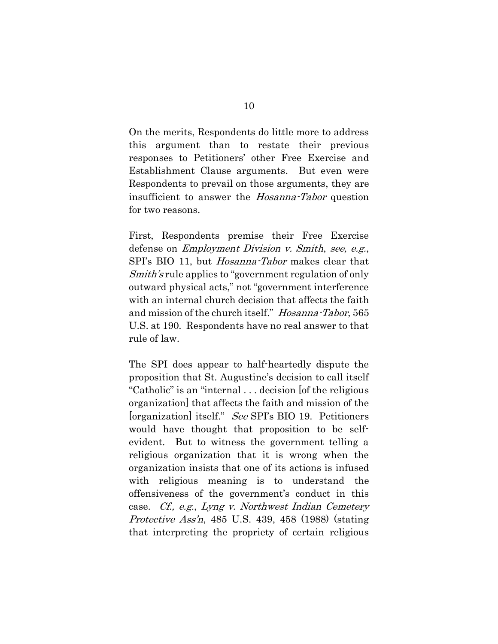On the merits, Respondents do little more to address this argument than to restate their previous responses to Petitioners' other Free Exercise and Establishment Clause arguments. But even were Respondents to prevail on those arguments, they are insufficient to answer the Hosanna-Tabor question for two reasons.

First, Respondents premise their Free Exercise defense on *Employment Division v. Smith, see, e.g.*, SPI's BIO 11, but *Hosanna-Tabor* makes clear that Smith's rule applies to "government regulation of only outward physical acts," not "government interference with an internal church decision that affects the faith and mission of the church itself." Hosanna-Tabor, 565 U.S. at 190. Respondents have no real answer to that rule of law.

The SPI does appear to half-heartedly dispute the proposition that St. Augustine's decision to call itself "Catholic" is an "internal . . . decision [of the religious organization] that affects the faith and mission of the [organization] itself." See SPI's BIO 19. Petitioners would have thought that proposition to be selfevident. But to witness the government telling a religious organization that it is wrong when the organization insists that one of its actions is infused with religious meaning is to understand the offensiveness of the government's conduct in this case. Cf., e.g., Lyng v. Northwest Indian Cemetery Protective Ass'n, 485 U.S. 439, 458 (1988) (stating that interpreting the propriety of certain religious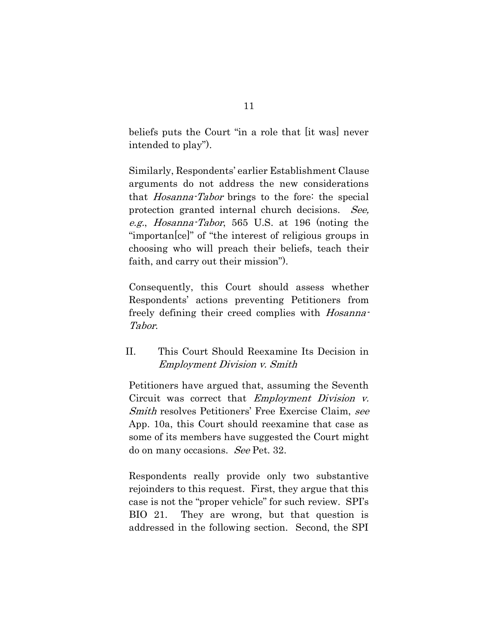beliefs puts the Court "in a role that [it was] never intended to play").

Similarly, Respondents' earlier Establishment Clause arguments do not address the new considerations that Hosanna-Tabor brings to the fore: the special protection granted internal church decisions. See, e.g., Hosanna-Tabor, 565 U.S. at 196 (noting the "importan[ce]" of "the interest of religious groups in choosing who will preach their beliefs, teach their faith, and carry out their mission").

Consequently, this Court should assess whether Respondents' actions preventing Petitioners from freely defining their creed complies with *Hosanna*-Tabor.

II. This Court Should Reexamine Its Decision in Employment Division v. Smith

Petitioners have argued that, assuming the Seventh Circuit was correct that Employment Division v. Smith resolves Petitioners' Free Exercise Claim, see App. 10a, this Court should reexamine that case as some of its members have suggested the Court might do on many occasions. See Pet. 32.

Respondents really provide only two substantive rejoinders to this request. First, they argue that this case is not the "proper vehicle" for such review. SPI's BIO 21. They are wrong, but that question is addressed in the following section. Second, the SPI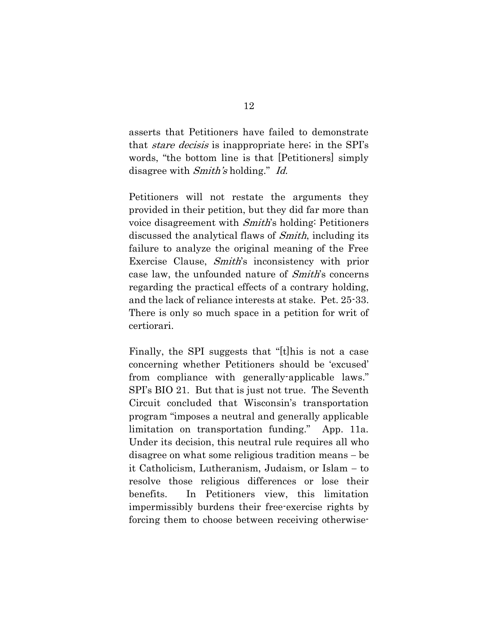asserts that Petitioners have failed to demonstrate that stare decisis is inappropriate here; in the SPI's words, "the bottom line is that [Petitioners] simply disagree with Smith's holding." Id.

Petitioners will not restate the arguments they provided in their petition, but they did far more than voice disagreement with *Smith's* holding: Petitioners discussed the analytical flaws of Smith, including its failure to analyze the original meaning of the Free Exercise Clause, Smith's inconsistency with prior case law, the unfounded nature of Smith's concerns regarding the practical effects of a contrary holding, and the lack of reliance interests at stake. Pet. 25-33. There is only so much space in a petition for writ of certiorari.

Finally, the SPI suggests that "[t]his is not a case concerning whether Petitioners should be 'excused' from compliance with generally-applicable laws." SPI's BIO 21. But that is just not true. The Seventh Circuit concluded that Wisconsin's transportation program "imposes a neutral and generally applicable limitation on transportation funding." App. 11a. Under its decision, this neutral rule requires all who  $disagree on what some religious tradition means - be$ it Catholicism, Lutheranism, Judaism, or Islam - to resolve those religious differences or lose their benefits. In Petitioners view, this limitation impermissibly burdens their free-exercise rights by forcing them to choose between receiving otherwise-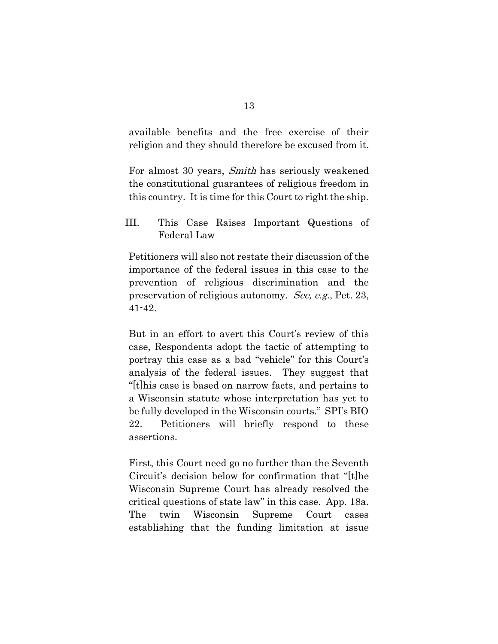available benefits and the free exercise of their religion and they should therefore be excused from it.

For almost 30 years, Smith has seriously weakened the constitutional guarantees of religious freedom in this country. It is time for this Court to right the ship.

III. This Case Raises Important Questions of Federal Law

Petitioners will also not restate their discussion of the importance of the federal issues in this case to the prevention of religious discrimination and the preservation of religious autonomy. See, e.g., Pet. 23, 41-42.

But in an effort to avert this Court's review of this case, Respondents adopt the tactic of attempting to portray this case as a bad "vehicle" for this Court's analysis of the federal issues. They suggest that "[t]his case is based on narrow facts, and pertains to a Wisconsin statute whose interpretation has yet to be fully developed in the Wisconsin courts." SPI's BIO 22. Petitioners will briefly respond to these assertions.

First, this Court need go no further than the Seventh Circuit's decision below for confirmation that "[t]he Wisconsin Supreme Court has already resolved the critical questions of state law" in this case. App. 18a. The twin Wisconsin Supreme Court cases establishing that the funding limitation at issue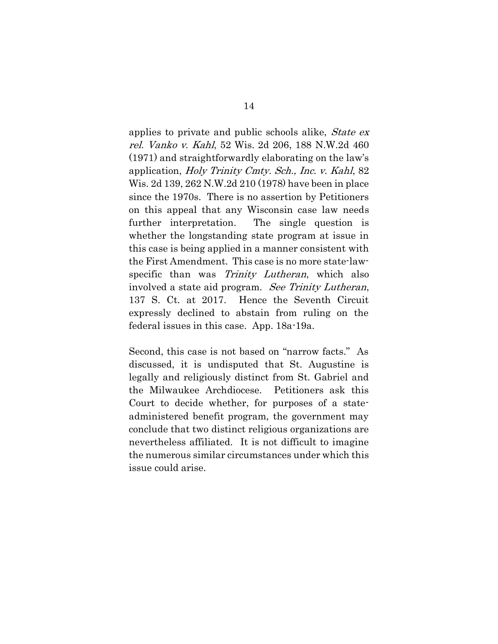applies to private and public schools alike, State ex rel. Vanko v. Kahl, 52 Wis. 2d 206, 188 N.W.2d 460 (1971) and straightforwardly elaborating on the law's application, Holy Trinity Cmty. Sch., Inc. v. Kahl, 82 Wis. 2d 139, 262 N.W.2d 210 (1978) have been in place since the 1970s. There is no assertion by Petitioners on this appeal that any Wisconsin case law needs further interpretation. The single question is whether the longstanding state program at issue in this case is being applied in a manner consistent with the First Amendment. This case is no more state-lawspecific than was Trinity Lutheran, which also involved a state aid program. See Trinity Lutheran, 137 S. Ct. at 2017. Hence the Seventh Circuit expressly declined to abstain from ruling on the federal issues in this case. App. 18a-19a.

Second, this case is not based on "narrow facts." As discussed, it is undisputed that St. Augustine is legally and religiously distinct from St. Gabriel and the Milwaukee Archdiocese. Petitioners ask this Court to decide whether, for purposes of a stateadministered benefit program, the government may conclude that two distinct religious organizations are nevertheless affiliated. It is not difficult to imagine the numerous similar circumstances under which this issue could arise.